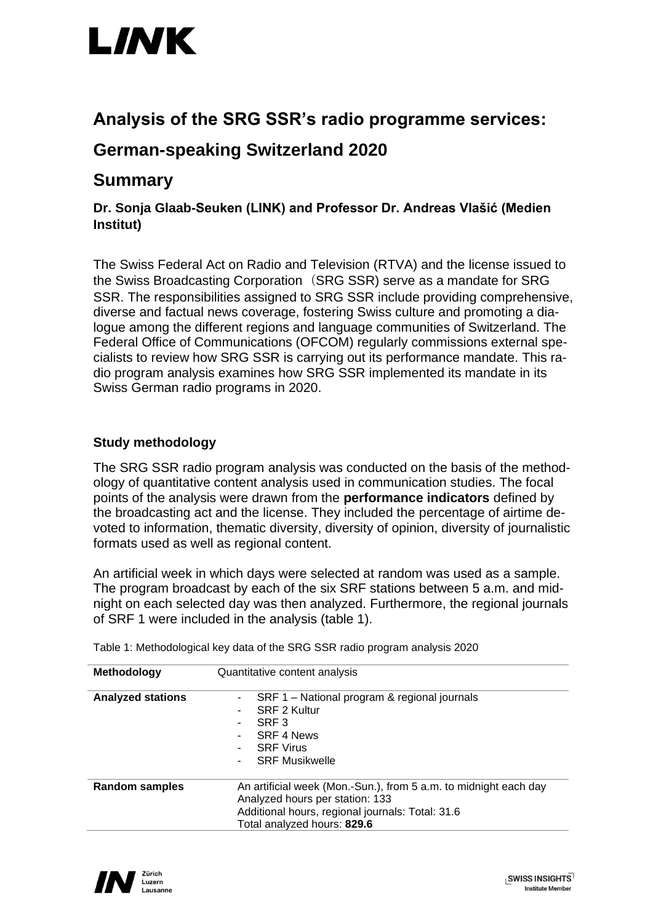

## **Analysis of the SRG SSR's radio programme services:**

# **German-speaking Switzerland 2020**

### **Summary**

**Dr. Sonja Glaab-Seuken (LINK) and Professor Dr. Andreas Vlašić (Medien Institut)**

The Swiss Federal Act on Radio and Television (RTVA) and the license issued to the Swiss Broadcasting Corporation (SRG SSR) serve as a mandate for SRG SSR. The responsibilities assigned to SRG SSR include providing comprehensive, diverse and factual news coverage, fostering Swiss culture and promoting a dialogue among the different regions and language communities of Switzerland. The Federal Office of Communications (OFCOM) regularly commissions external specialists to review how SRG SSR is carrying out its performance mandate. This radio program analysis examines how SRG SSR implemented its mandate in its Swiss German radio programs in 2020.

### **Study methodology**

The SRG SSR radio program analysis was conducted on the basis of the methodology of quantitative content analysis used in communication studies. The focal points of the analysis were drawn from the **performance indicators** defined by the broadcasting act and the license. They included the percentage of airtime devoted to information, thematic diversity, diversity of opinion, diversity of journalistic formats used as well as regional content.

An artificial week in which days were selected at random was used as a sample. The program broadcast by each of the six SRF stations between 5 a.m. and midnight on each selected day was then analyzed. Furthermore, the regional journals of SRF 1 were included in the analysis (table 1).

| Methodology              | Quantitative content analysis                                                                                                                                                          |
|--------------------------|----------------------------------------------------------------------------------------------------------------------------------------------------------------------------------------|
| <b>Analyzed stations</b> | - SRF 1 – National program & regional journals<br>SRF 2 Kultur<br>۰.<br>SRF <sub>3</sub><br>SRF 4 News<br><b>SRF Virus</b><br><b>SRF Musikwelle</b>                                    |
| <b>Random samples</b>    | An artificial week (Mon.-Sun.), from 5 a.m. to midnight each day<br>Analyzed hours per station: 133<br>Additional hours, regional journals: Total: 31.6<br>Total analyzed hours: 829.6 |

Table 1: Methodological key data of the SRG SSR radio program analysis 2020

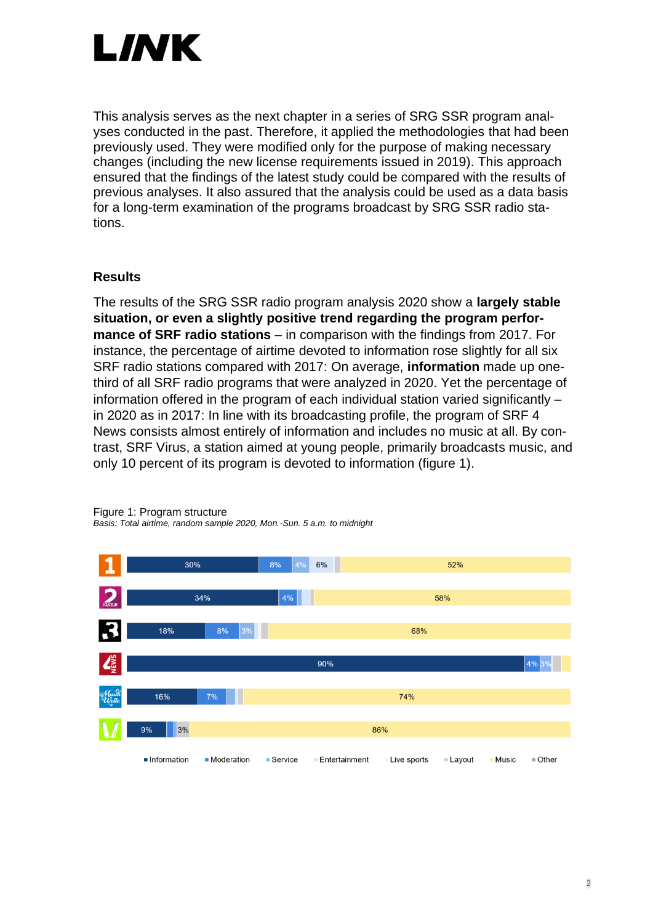

This analysis serves as the next chapter in a series of SRG SSR program analyses conducted in the past. Therefore, it applied the methodologies that had been previously used. They were modified only for the purpose of making necessary changes (including the new license requirements issued in 2019). This approach ensured that the findings of the latest study could be compared with the results of previous analyses. It also assured that the analysis could be used as a data basis for a long-term examination of the programs broadcast by SRG SSR radio stations.

### **Results**

The results of the SRG SSR radio program analysis 2020 show a **largely stable situation, or even a slightly positive trend regarding the program performance of SRF radio stations** – in comparison with the findings from 2017. For instance, the percentage of airtime devoted to information rose slightly for all six SRF radio stations compared with 2017: On average, **information** made up onethird of all SRF radio programs that were analyzed in 2020. Yet the percentage of information offered in the program of each individual station varied significantly – in 2020 as in 2017: In line with its broadcasting profile, the program of SRF 4 News consists almost entirely of information and includes no music at all. By contrast, SRF Virus, a station aimed at young people, primarily broadcasts music, and only 10 percent of its program is devoted to information (figure 1).



Figure 1: Program structure *Basis: Total airtime, random sample 2020, Mon.-Sun. 5 a.m. to midnight*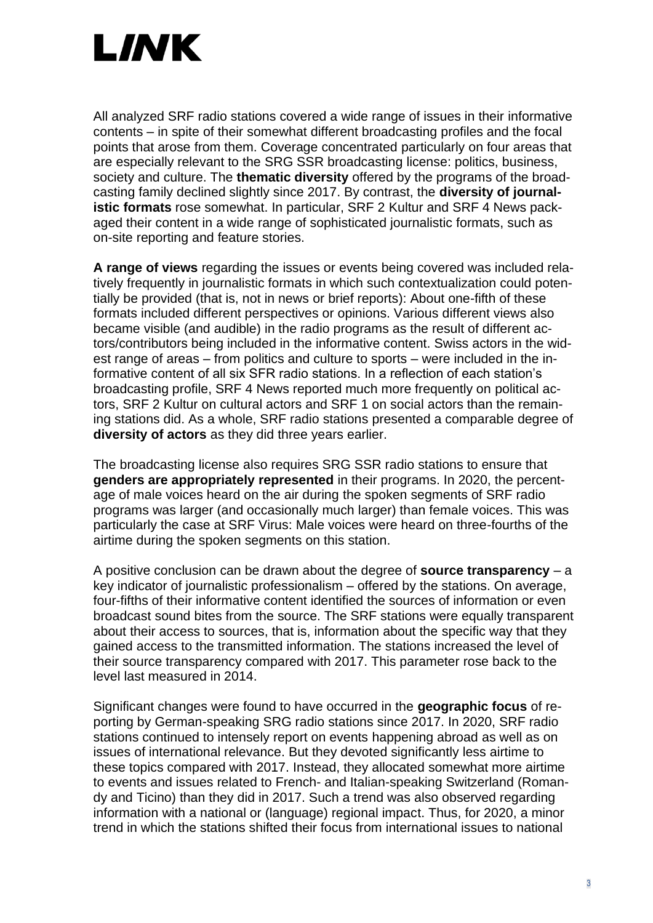

All analyzed SRF radio stations covered a wide range of issues in their informative contents – in spite of their somewhat different broadcasting profiles and the focal points that arose from them. Coverage concentrated particularly on four areas that are especially relevant to the SRG SSR broadcasting license: politics, business, society and culture. The **thematic diversity** offered by the programs of the broadcasting family declined slightly since 2017. By contrast, the **diversity of journalistic formats** rose somewhat. In particular, SRF 2 Kultur and SRF 4 News packaged their content in a wide range of sophisticated journalistic formats, such as on-site reporting and feature stories.

**A range of views** regarding the issues or events being covered was included relatively frequently in journalistic formats in which such contextualization could potentially be provided (that is, not in news or brief reports): About one-fifth of these formats included different perspectives or opinions. Various different views also became visible (and audible) in the radio programs as the result of different actors/contributors being included in the informative content. Swiss actors in the widest range of areas – from politics and culture to sports – were included in the informative content of all six SFR radio stations. In a reflection of each station's broadcasting profile, SRF 4 News reported much more frequently on political actors, SRF 2 Kultur on cultural actors and SRF 1 on social actors than the remaining stations did. As a whole, SRF radio stations presented a comparable degree of **diversity of actors** as they did three years earlier.

The broadcasting license also requires SRG SSR radio stations to ensure that **genders are appropriately represented** in their programs. In 2020, the percentage of male voices heard on the air during the spoken segments of SRF radio programs was larger (and occasionally much larger) than female voices. This was particularly the case at SRF Virus: Male voices were heard on three-fourths of the airtime during the spoken segments on this station.

A positive conclusion can be drawn about the degree of **source transparency** – a key indicator of journalistic professionalism – offered by the stations. On average, four-fifths of their informative content identified the sources of information or even broadcast sound bites from the source. The SRF stations were equally transparent about their access to sources, that is, information about the specific way that they gained access to the transmitted information. The stations increased the level of their source transparency compared with 2017. This parameter rose back to the level last measured in 2014.

Significant changes were found to have occurred in the **geographic focus** of reporting by German-speaking SRG radio stations since 2017. In 2020, SRF radio stations continued to intensely report on events happening abroad as well as on issues of international relevance. But they devoted significantly less airtime to these topics compared with 2017. Instead, they allocated somewhat more airtime to events and issues related to French- and Italian-speaking Switzerland (Romandy and Ticino) than they did in 2017. Such a trend was also observed regarding information with a national or (language) regional impact. Thus, for 2020, a minor trend in which the stations shifted their focus from international issues to national